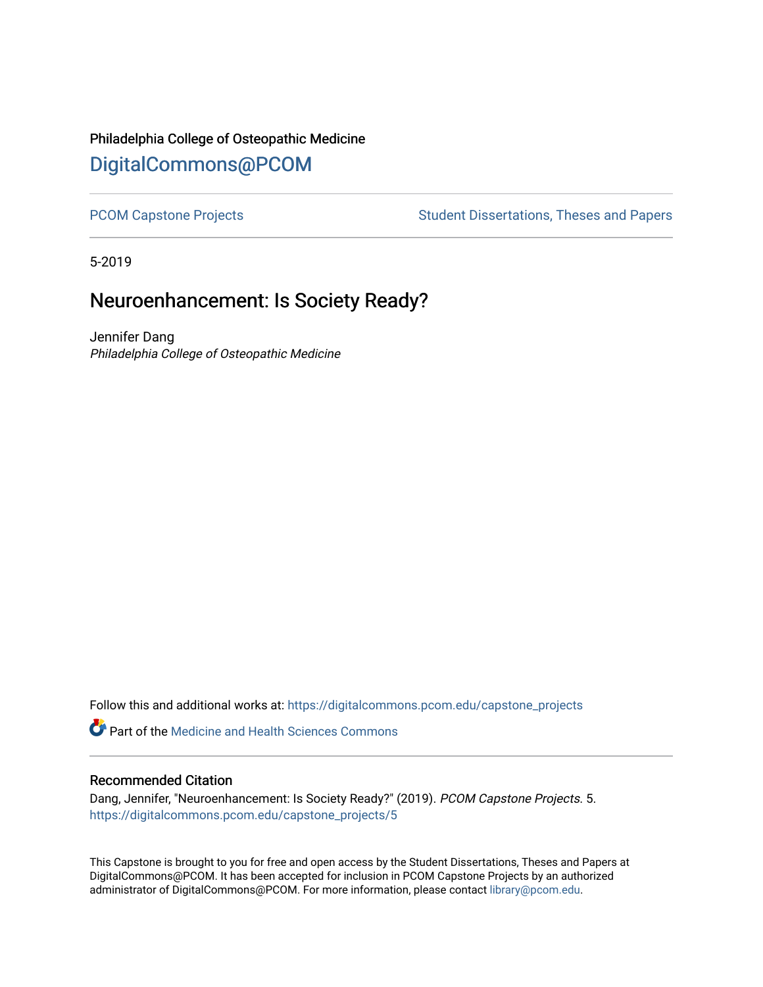## Philadelphia College of Osteopathic Medicine [DigitalCommons@PCOM](https://digitalcommons.pcom.edu/)

[PCOM Capstone Projects](https://digitalcommons.pcom.edu/capstone_projects) **Student Dissertations, Theses and Papers** Student Dissertations, Theses and Papers

5-2019

# Neuroenhancement: Is Society Ready?

Jennifer Dang Philadelphia College of Osteopathic Medicine

Follow this and additional works at: [https://digitalcommons.pcom.edu/capstone\\_projects](https://digitalcommons.pcom.edu/capstone_projects?utm_source=digitalcommons.pcom.edu%2Fcapstone_projects%2F5&utm_medium=PDF&utm_campaign=PDFCoverPages)

**C** Part of the Medicine and Health Sciences Commons

## Recommended Citation

Dang, Jennifer, "Neuroenhancement: Is Society Ready?" (2019). PCOM Capstone Projects. 5. [https://digitalcommons.pcom.edu/capstone\\_projects/5](https://digitalcommons.pcom.edu/capstone_projects/5?utm_source=digitalcommons.pcom.edu%2Fcapstone_projects%2F5&utm_medium=PDF&utm_campaign=PDFCoverPages) 

This Capstone is brought to you for free and open access by the Student Dissertations, Theses and Papers at DigitalCommons@PCOM. It has been accepted for inclusion in PCOM Capstone Projects by an authorized administrator of DigitalCommons@PCOM. For more information, please contact [library@pcom.edu.](mailto:library@pcom.edu)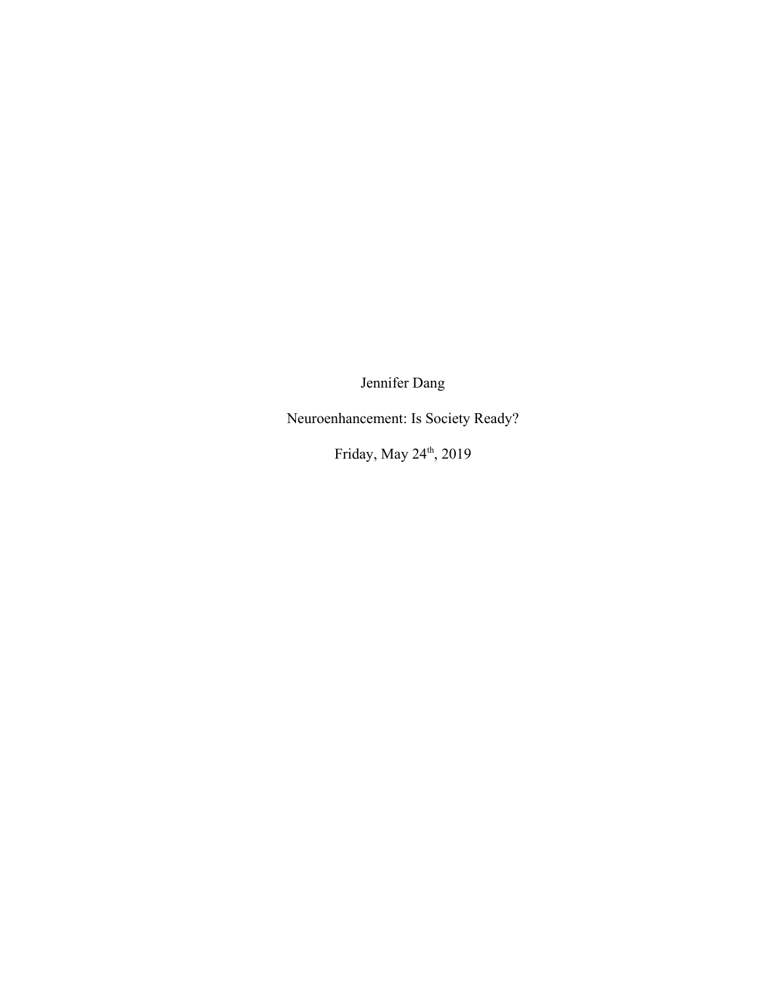Jennifer Dang

Neuroenhancement: Is Society Ready?

Friday, May 24<sup>th</sup>, 2019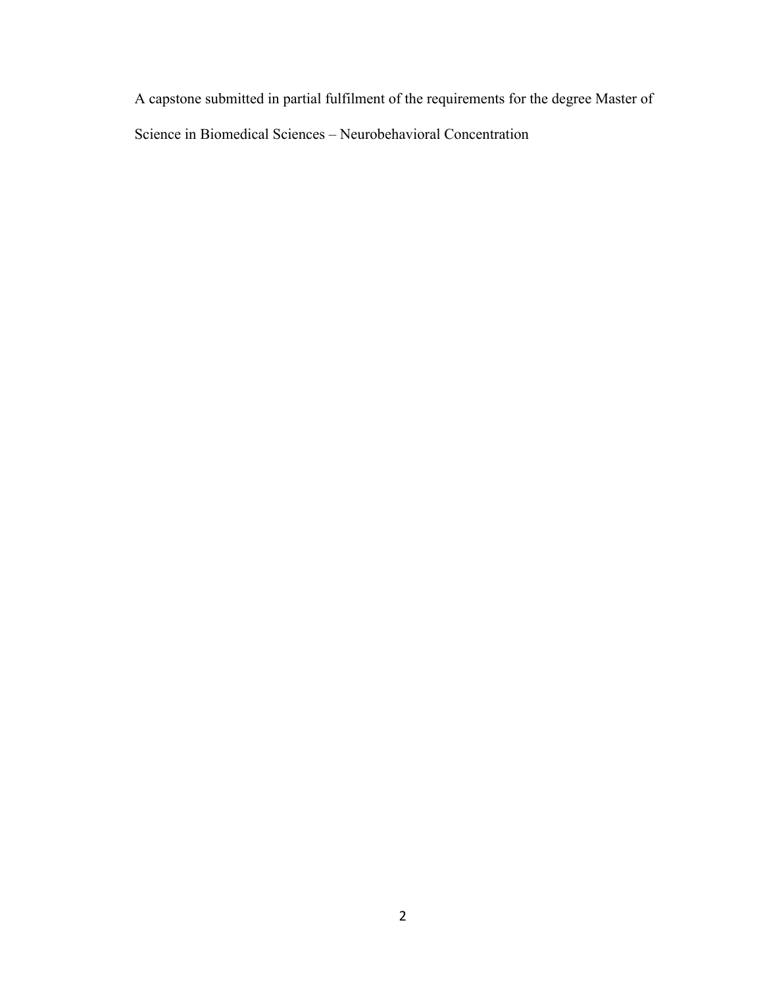A capstone submitted in partial fulfilment of the requirements for the degree Master of Science in Biomedical Sciences – Neurobehavioral Concentration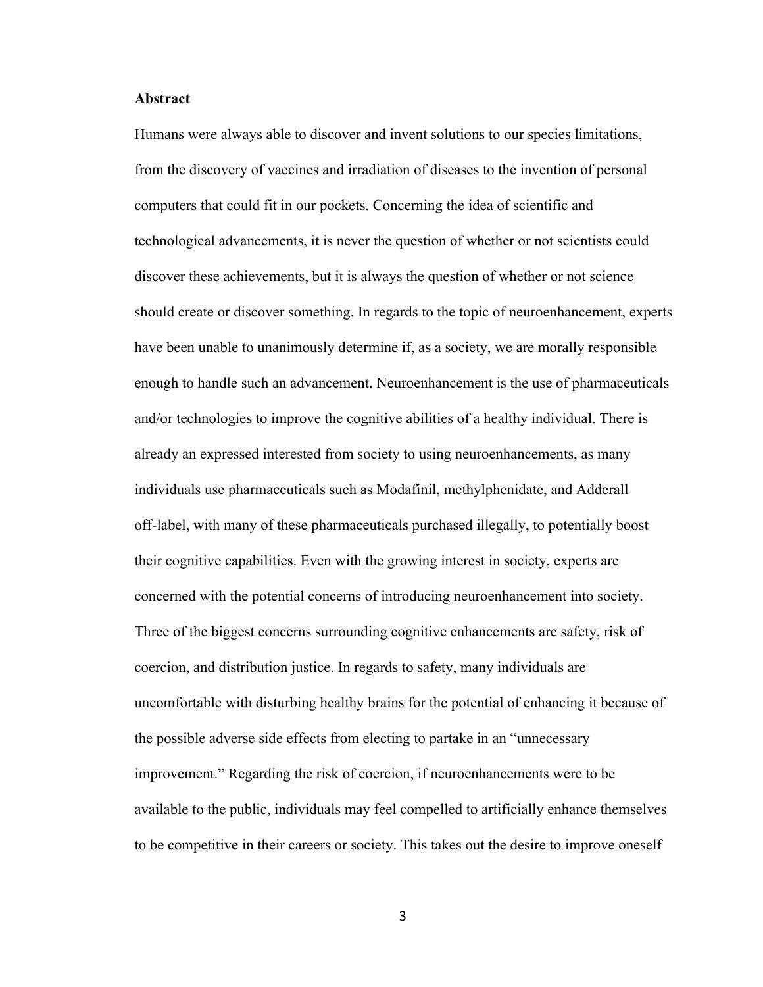### **Abstract**

Humans were always able to discover and invent solutions to our species limitations, from the discovery of vaccines and irradiation of diseases to the invention of personal computers that could fit in our pockets. Concerning the idea of scientific and technological advancements, it is never the question of whether or not scientists could discover these achievements, but it is always the question of whether or not science should create or discover something. In regards to the topic of neuroenhancement, experts have been unable to unanimously determine if, as a society, we are morally responsible enough to handle such an advancement. Neuroenhancement is the use of pharmaceuticals and/or technologies to improve the cognitive abilities of a healthy individual. There is already an expressed interested from society to using neuroenhancements, as many individuals use pharmaceuticals such as Modafinil, methylphenidate, and Adderall off-label, with many of these pharmaceuticals purchased illegally, to potentially boost their cognitive capabilities. Even with the growing interest in society, experts are concerned with the potential concerns of introducing neuroenhancement into society. Three of the biggest concerns surrounding cognitive enhancements are safety, risk of coercion, and distribution justice. In regards to safety, many individuals are uncomfortable with disturbing healthy brains for the potential of enhancing it because of the possible adverse side effects from electing to partake in an "unnecessary improvement." Regarding the risk of coercion, if neuroenhancements were to be available to the public, individuals may feel compelled to artificially enhance themselves to be competitive in their careers or society. This takes out the desire to improve oneself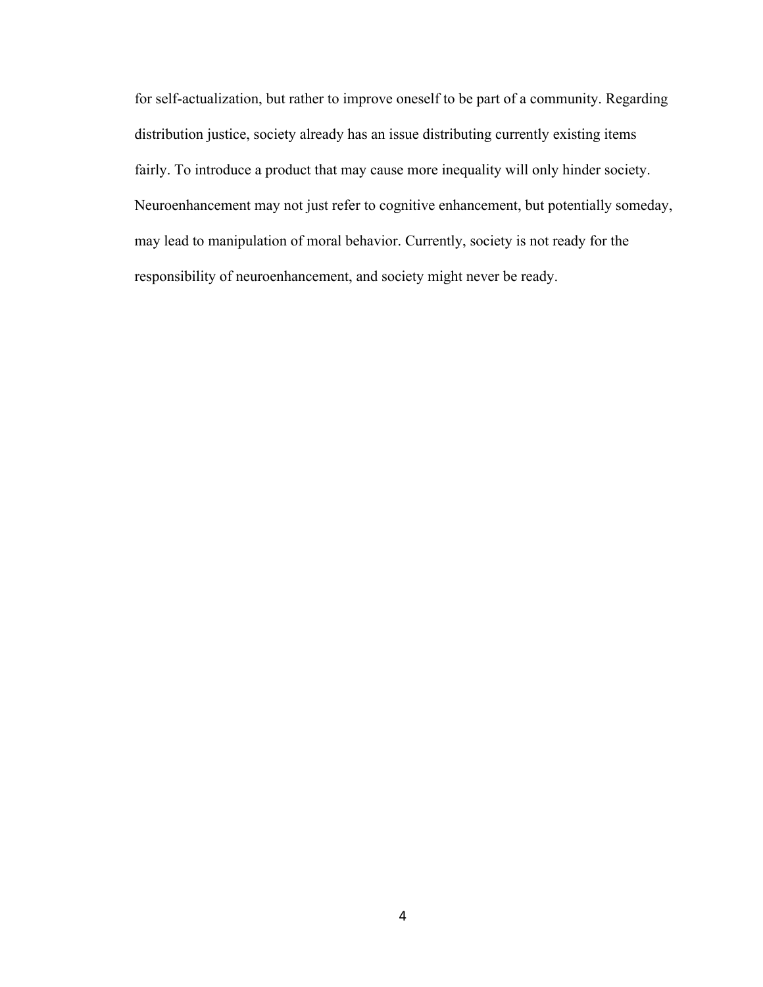for self-actualization, but rather to improve oneself to be part of a community. Regarding distribution justice, society already has an issue distributing currently existing items fairly. To introduce a product that may cause more inequality will only hinder society. Neuroenhancement may not just refer to cognitive enhancement, but potentially someday, may lead to manipulation of moral behavior. Currently, society is not ready for the responsibility of neuroenhancement, and society might never be ready.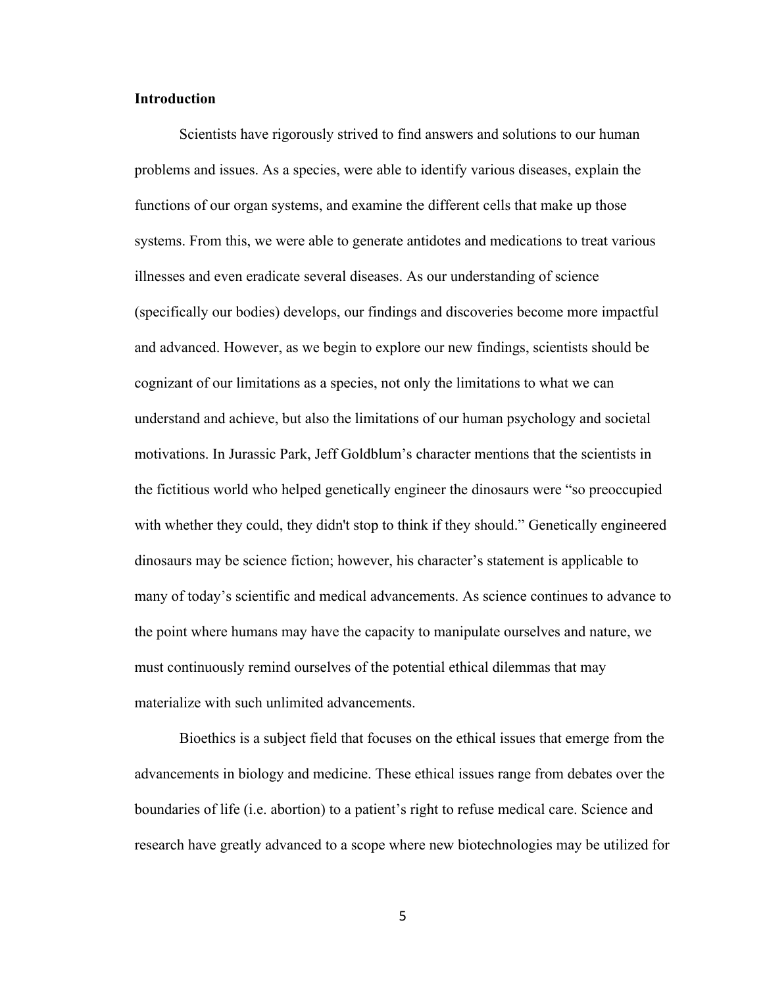## **Introduction**

Scientists have rigorously strived to find answers and solutions to our human problems and issues. As a species, were able to identify various diseases, explain the functions of our organ systems, and examine the different cells that make up those systems. From this, we were able to generate antidotes and medications to treat various illnesses and even eradicate several diseases. As our understanding of science (specifically our bodies) develops, our findings and discoveries become more impactful and advanced. However, as we begin to explore our new findings, scientists should be cognizant of our limitations as a species, not only the limitations to what we can understand and achieve, but also the limitations of our human psychology and societal motivations. In Jurassic Park, Jeff Goldblum's character mentions that the scientists in the fictitious world who helped genetically engineer the dinosaurs were "so preoccupied with whether they could, they didn't stop to think if they should." Genetically engineered dinosaurs may be science fiction; however, his character's statement is applicable to many of today's scientific and medical advancements. As science continues to advance to the point where humans may have the capacity to manipulate ourselves and nature, we must continuously remind ourselves of the potential ethical dilemmas that may materialize with such unlimited advancements.

Bioethics is a subject field that focuses on the ethical issues that emerge from the advancements in biology and medicine. These ethical issues range from debates over the boundaries of life (i.e. abortion) to a patient's right to refuse medical care. Science and research have greatly advanced to a scope where new biotechnologies may be utilized for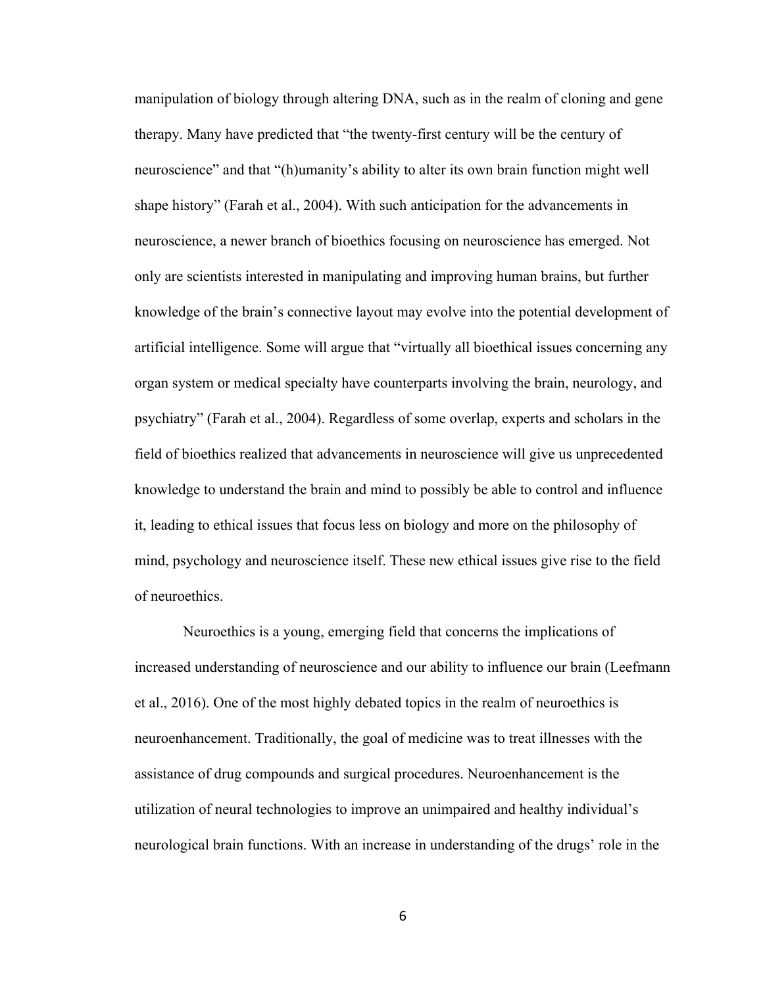manipulation of biology through altering DNA, such as in the realm of cloning and gene therapy. Many have predicted that "the twenty-first century will be the century of neuroscience" and that "(h)umanity's ability to alter its own brain function might well shape history" (Farah et al., 2004). With such anticipation for the advancements in neuroscience, a newer branch of bioethics focusing on neuroscience has emerged. Not only are scientists interested in manipulating and improving human brains, but further knowledge of the brain's connective layout may evolve into the potential development of artificial intelligence. Some will argue that "virtually all bioethical issues concerning any organ system or medical specialty have counterparts involving the brain, neurology, and psychiatry" (Farah et al., 2004). Regardless of some overlap, experts and scholars in the field of bioethics realized that advancements in neuroscience will give us unprecedented knowledge to understand the brain and mind to possibly be able to control and influence it, leading to ethical issues that focus less on biology and more on the philosophy of mind, psychology and neuroscience itself. These new ethical issues give rise to the field of neuroethics.

 Neuroethics is a young, emerging field that concerns the implications of increased understanding of neuroscience and our ability to influence our brain (Leefmann et al., 2016). One of the most highly debated topics in the realm of neuroethics is neuroenhancement. Traditionally, the goal of medicine was to treat illnesses with the assistance of drug compounds and surgical procedures. Neuroenhancement is the utilization of neural technologies to improve an unimpaired and healthy individual's neurological brain functions. With an increase in understanding of the drugs' role in the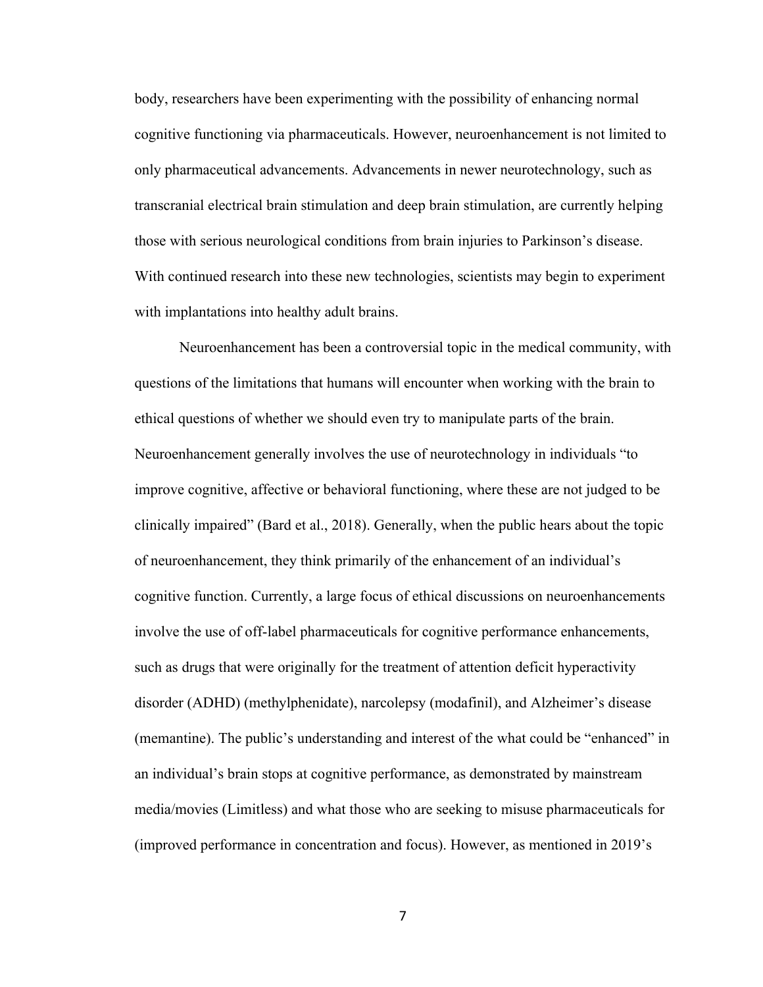body, researchers have been experimenting with the possibility of enhancing normal cognitive functioning via pharmaceuticals. However, neuroenhancement is not limited to only pharmaceutical advancements. Advancements in newer neurotechnology, such as transcranial electrical brain stimulation and deep brain stimulation, are currently helping those with serious neurological conditions from brain injuries to Parkinson's disease. With continued research into these new technologies, scientists may begin to experiment with implantations into healthy adult brains.

Neuroenhancement has been a controversial topic in the medical community, with questions of the limitations that humans will encounter when working with the brain to ethical questions of whether we should even try to manipulate parts of the brain. Neuroenhancement generally involves the use of neurotechnology in individuals "to improve cognitive, affective or behavioral functioning, where these are not judged to be clinically impaired" (Bard et al., 2018). Generally, when the public hears about the topic of neuroenhancement, they think primarily of the enhancement of an individual's cognitive function. Currently, a large focus of ethical discussions on neuroenhancements involve the use of off-label pharmaceuticals for cognitive performance enhancements, such as drugs that were originally for the treatment of attention deficit hyperactivity disorder (ADHD) (methylphenidate), narcolepsy (modafinil), and Alzheimer's disease (memantine). The public's understanding and interest of the what could be "enhanced" in an individual's brain stops at cognitive performance, as demonstrated by mainstream media/movies (Limitless) and what those who are seeking to misuse pharmaceuticals for (improved performance in concentration and focus). However, as mentioned in 2019's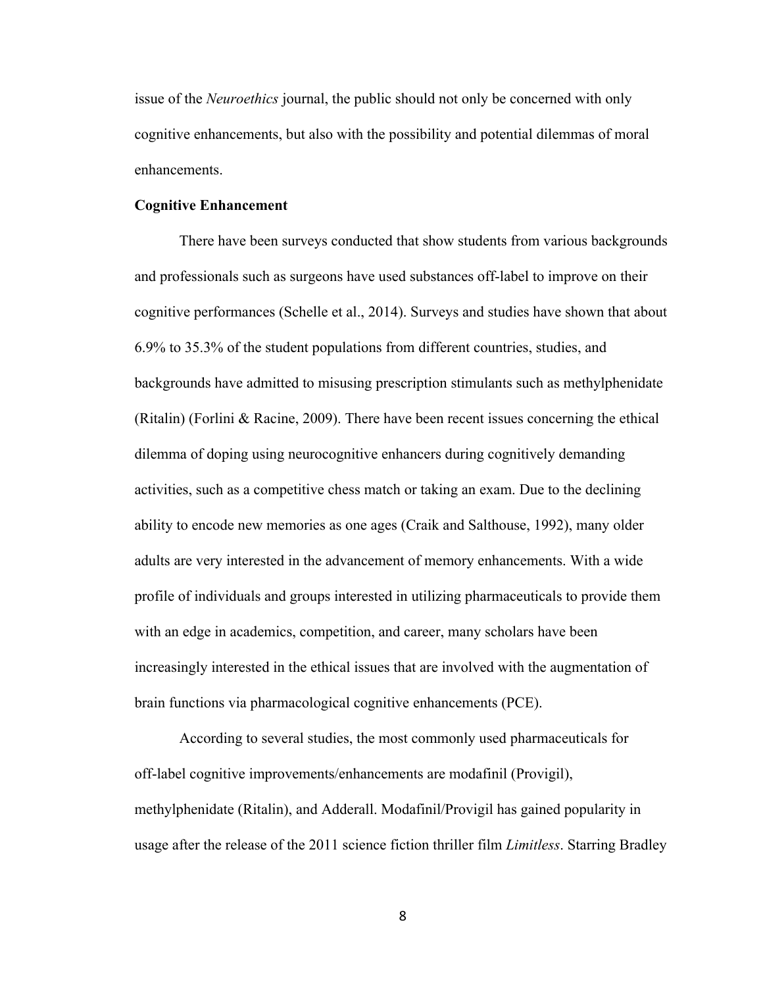issue of the *Neuroethics* journal, the public should not only be concerned with only cognitive enhancements, but also with the possibility and potential dilemmas of moral enhancements.

## **Cognitive Enhancement**

There have been surveys conducted that show students from various backgrounds and professionals such as surgeons have used substances off-label to improve on their cognitive performances (Schelle et al., 2014). Surveys and studies have shown that about 6.9% to 35.3% of the student populations from different countries, studies, and backgrounds have admitted to misusing prescription stimulants such as methylphenidate (Ritalin) (Forlini & Racine, 2009). There have been recent issues concerning the ethical dilemma of doping using neurocognitive enhancers during cognitively demanding activities, such as a competitive chess match or taking an exam. Due to the declining ability to encode new memories as one ages (Craik and Salthouse, 1992), many older adults are very interested in the advancement of memory enhancements. With a wide profile of individuals and groups interested in utilizing pharmaceuticals to provide them with an edge in academics, competition, and career, many scholars have been increasingly interested in the ethical issues that are involved with the augmentation of brain functions via pharmacological cognitive enhancements (PCE).

According to several studies, the most commonly used pharmaceuticals for off-label cognitive improvements/enhancements are modafinil (Provigil), methylphenidate (Ritalin), and Adderall. Modafinil/Provigil has gained popularity in usage after the release of the 2011 science fiction thriller film *Limitless*. Starring Bradley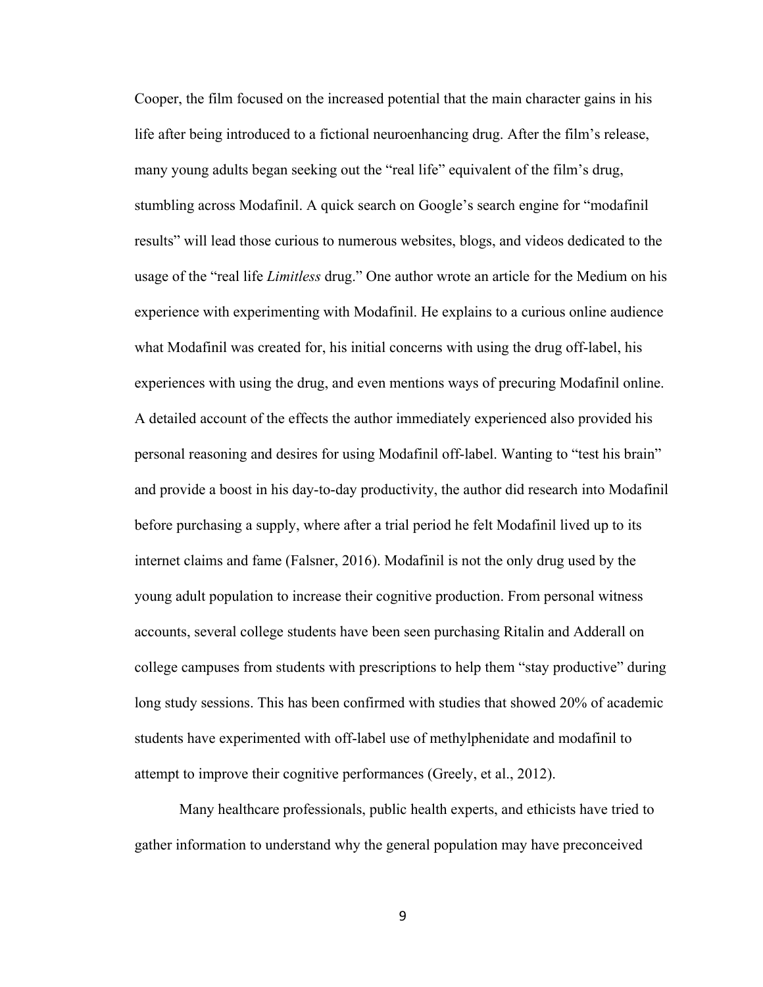Cooper, the film focused on the increased potential that the main character gains in his life after being introduced to a fictional neuroenhancing drug. After the film's release, many young adults began seeking out the "real life" equivalent of the film's drug, stumbling across Modafinil. A quick search on Google's search engine for "modafinil results" will lead those curious to numerous websites, blogs, and videos dedicated to the usage of the "real life *Limitless* drug." One author wrote an article for the Medium on his experience with experimenting with Modafinil. He explains to a curious online audience what Modafinil was created for, his initial concerns with using the drug off-label, his experiences with using the drug, and even mentions ways of precuring Modafinil online. A detailed account of the effects the author immediately experienced also provided his personal reasoning and desires for using Modafinil off-label. Wanting to "test his brain" and provide a boost in his day-to-day productivity, the author did research into Modafinil before purchasing a supply, where after a trial period he felt Modafinil lived up to its internet claims and fame (Falsner, 2016). Modafinil is not the only drug used by the young adult population to increase their cognitive production. From personal witness accounts, several college students have been seen purchasing Ritalin and Adderall on college campuses from students with prescriptions to help them "stay productive" during long study sessions. This has been confirmed with studies that showed 20% of academic students have experimented with off-label use of methylphenidate and modafinil to attempt to improve their cognitive performances (Greely, et al., 2012).

Many healthcare professionals, public health experts, and ethicists have tried to gather information to understand why the general population may have preconceived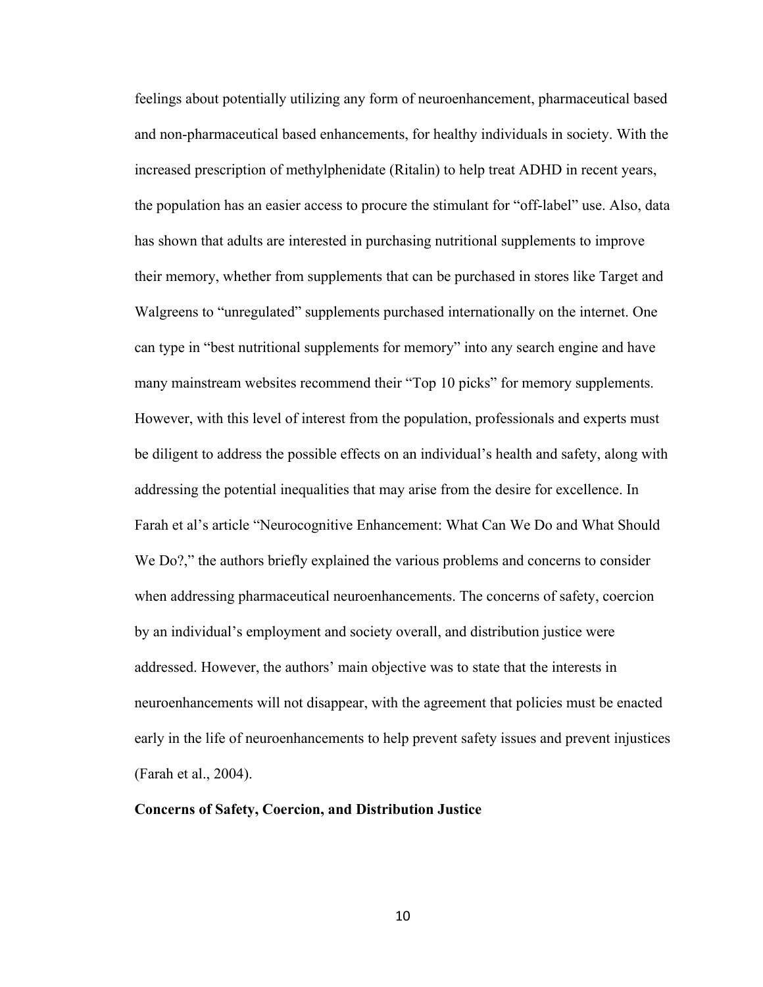feelings about potentially utilizing any form of neuroenhancement, pharmaceutical based and non-pharmaceutical based enhancements, for healthy individuals in society. With the increased prescription of methylphenidate (Ritalin) to help treat ADHD in recent years, the population has an easier access to procure the stimulant for "off-label" use. Also, data has shown that adults are interested in purchasing nutritional supplements to improve their memory, whether from supplements that can be purchased in stores like Target and Walgreens to "unregulated" supplements purchased internationally on the internet. One can type in "best nutritional supplements for memory" into any search engine and have many mainstream websites recommend their "Top 10 picks" for memory supplements. However, with this level of interest from the population, professionals and experts must be diligent to address the possible effects on an individual's health and safety, along with addressing the potential inequalities that may arise from the desire for excellence. In Farah et al's article "Neurocognitive Enhancement: What Can We Do and What Should We Do?," the authors briefly explained the various problems and concerns to consider when addressing pharmaceutical neuroenhancements. The concerns of safety, coercion by an individual's employment and society overall, and distribution justice were addressed. However, the authors' main objective was to state that the interests in neuroenhancements will not disappear, with the agreement that policies must be enacted early in the life of neuroenhancements to help prevent safety issues and prevent injustices (Farah et al., 2004).

### **Concerns of Safety, Coercion, and Distribution Justice**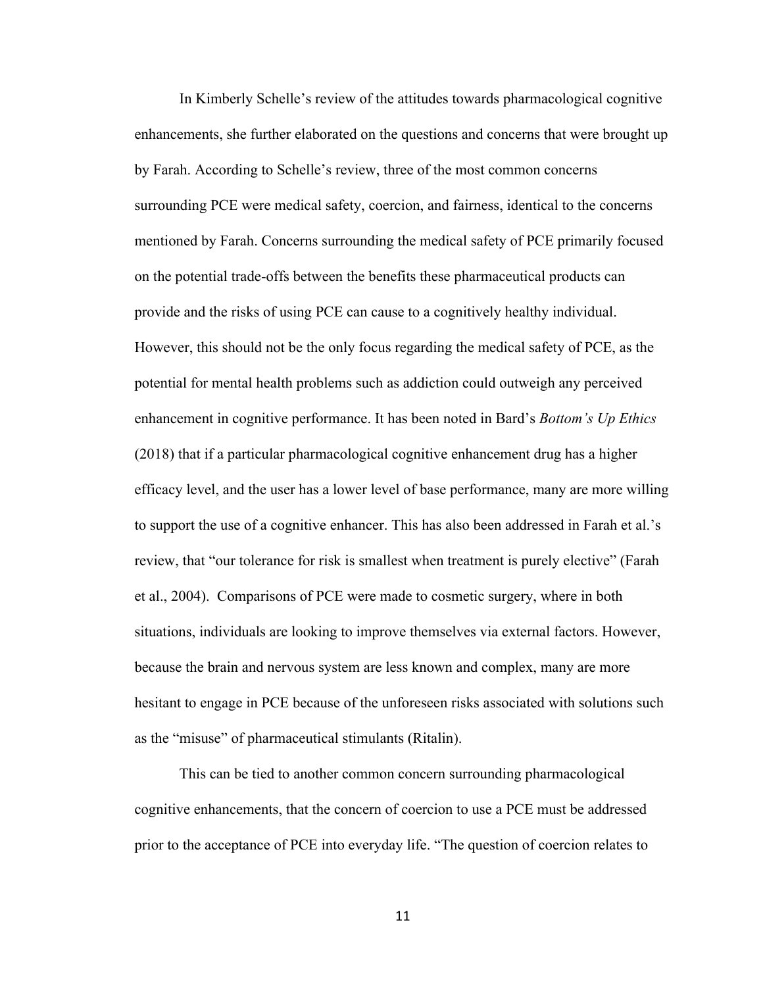In Kimberly Schelle's review of the attitudes towards pharmacological cognitive enhancements, she further elaborated on the questions and concerns that were brought up by Farah. According to Schelle's review, three of the most common concerns surrounding PCE were medical safety, coercion, and fairness, identical to the concerns mentioned by Farah. Concerns surrounding the medical safety of PCE primarily focused on the potential trade-offs between the benefits these pharmaceutical products can provide and the risks of using PCE can cause to a cognitively healthy individual. However, this should not be the only focus regarding the medical safety of PCE, as the potential for mental health problems such as addiction could outweigh any perceived enhancement in cognitive performance. It has been noted in Bard's *Bottom's Up Ethics* (2018) that if a particular pharmacological cognitive enhancement drug has a higher efficacy level, and the user has a lower level of base performance, many are more willing to support the use of a cognitive enhancer. This has also been addressed in Farah et al.'s review, that "our tolerance for risk is smallest when treatment is purely elective" (Farah et al., 2004). Comparisons of PCE were made to cosmetic surgery, where in both situations, individuals are looking to improve themselves via external factors. However, because the brain and nervous system are less known and complex, many are more hesitant to engage in PCE because of the unforeseen risks associated with solutions such as the "misuse" of pharmaceutical stimulants (Ritalin).

This can be tied to another common concern surrounding pharmacological cognitive enhancements, that the concern of coercion to use a PCE must be addressed prior to the acceptance of PCE into everyday life. "The question of coercion relates to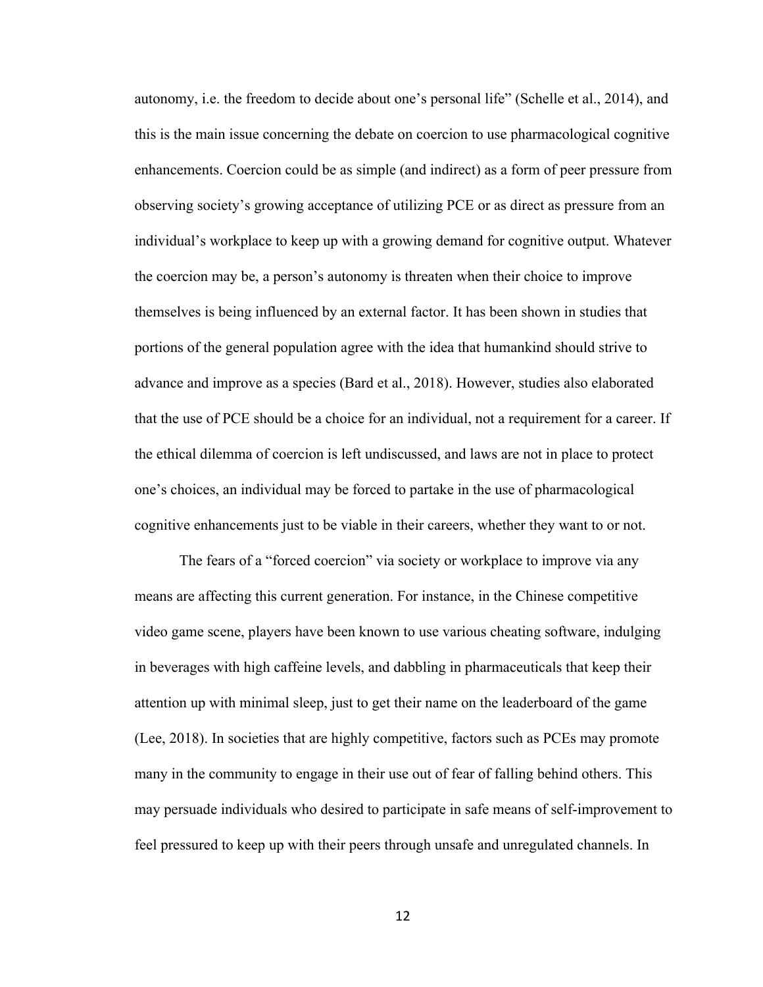autonomy, i.e. the freedom to decide about one's personal life" (Schelle et al., 2014), and this is the main issue concerning the debate on coercion to use pharmacological cognitive enhancements. Coercion could be as simple (and indirect) as a form of peer pressure from observing society's growing acceptance of utilizing PCE or as direct as pressure from an individual's workplace to keep up with a growing demand for cognitive output. Whatever the coercion may be, a person's autonomy is threaten when their choice to improve themselves is being influenced by an external factor. It has been shown in studies that portions of the general population agree with the idea that humankind should strive to advance and improve as a species (Bard et al., 2018). However, studies also elaborated that the use of PCE should be a choice for an individual, not a requirement for a career. If the ethical dilemma of coercion is left undiscussed, and laws are not in place to protect one's choices, an individual may be forced to partake in the use of pharmacological cognitive enhancements just to be viable in their careers, whether they want to or not.

The fears of a "forced coercion" via society or workplace to improve via any means are affecting this current generation. For instance, in the Chinese competitive video game scene, players have been known to use various cheating software, indulging in beverages with high caffeine levels, and dabbling in pharmaceuticals that keep their attention up with minimal sleep, just to get their name on the leaderboard of the game (Lee, 2018). In societies that are highly competitive, factors such as PCEs may promote many in the community to engage in their use out of fear of falling behind others. This may persuade individuals who desired to participate in safe means of self-improvement to feel pressured to keep up with their peers through unsafe and unregulated channels. In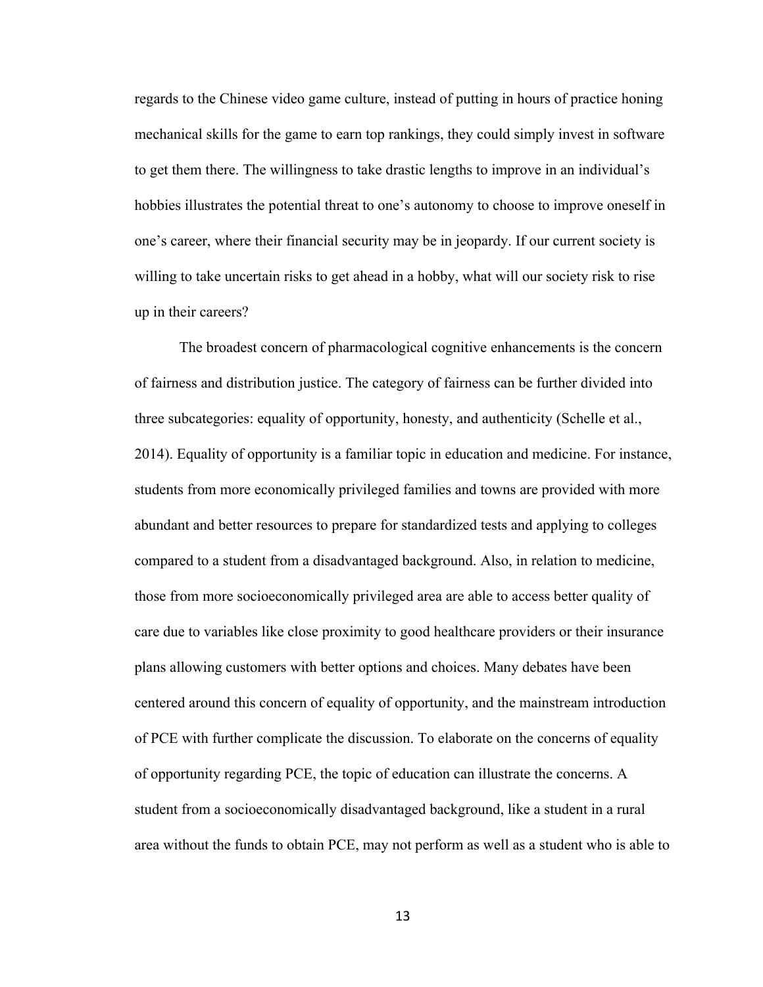regards to the Chinese video game culture, instead of putting in hours of practice honing mechanical skills for the game to earn top rankings, they could simply invest in software to get them there. The willingness to take drastic lengths to improve in an individual's hobbies illustrates the potential threat to one's autonomy to choose to improve oneself in one's career, where their financial security may be in jeopardy. If our current society is willing to take uncertain risks to get ahead in a hobby, what will our society risk to rise up in their careers?

The broadest concern of pharmacological cognitive enhancements is the concern of fairness and distribution justice. The category of fairness can be further divided into three subcategories: equality of opportunity, honesty, and authenticity (Schelle et al., 2014). Equality of opportunity is a familiar topic in education and medicine. For instance, students from more economically privileged families and towns are provided with more abundant and better resources to prepare for standardized tests and applying to colleges compared to a student from a disadvantaged background. Also, in relation to medicine, those from more socioeconomically privileged area are able to access better quality of care due to variables like close proximity to good healthcare providers or their insurance plans allowing customers with better options and choices. Many debates have been centered around this concern of equality of opportunity, and the mainstream introduction of PCE with further complicate the discussion. To elaborate on the concerns of equality of opportunity regarding PCE, the topic of education can illustrate the concerns. A student from a socioeconomically disadvantaged background, like a student in a rural area without the funds to obtain PCE, may not perform as well as a student who is able to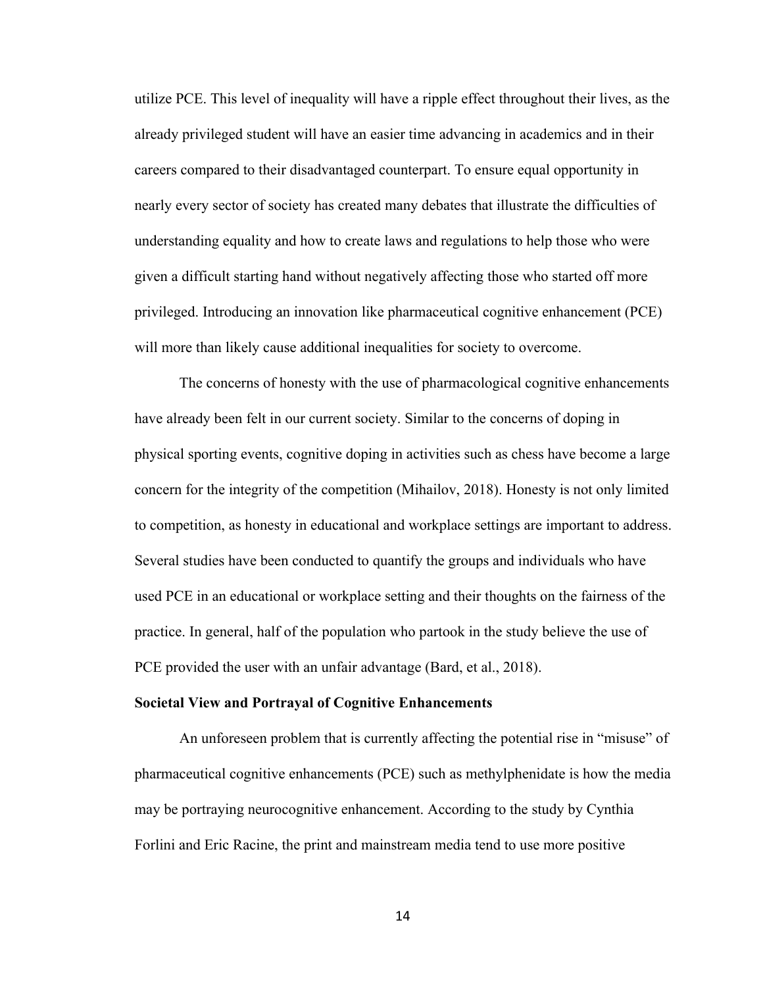utilize PCE. This level of inequality will have a ripple effect throughout their lives, as the already privileged student will have an easier time advancing in academics and in their careers compared to their disadvantaged counterpart. To ensure equal opportunity in nearly every sector of society has created many debates that illustrate the difficulties of understanding equality and how to create laws and regulations to help those who were given a difficult starting hand without negatively affecting those who started off more privileged. Introducing an innovation like pharmaceutical cognitive enhancement (PCE) will more than likely cause additional inequalities for society to overcome.

The concerns of honesty with the use of pharmacological cognitive enhancements have already been felt in our current society. Similar to the concerns of doping in physical sporting events, cognitive doping in activities such as chess have become a large concern for the integrity of the competition (Mihailov, 2018). Honesty is not only limited to competition, as honesty in educational and workplace settings are important to address. Several studies have been conducted to quantify the groups and individuals who have used PCE in an educational or workplace setting and their thoughts on the fairness of the practice. In general, half of the population who partook in the study believe the use of PCE provided the user with an unfair advantage (Bard, et al., 2018).

#### **Societal View and Portrayal of Cognitive Enhancements**

An unforeseen problem that is currently affecting the potential rise in "misuse" of pharmaceutical cognitive enhancements (PCE) such as methylphenidate is how the media may be portraying neurocognitive enhancement. According to the study by Cynthia Forlini and Eric Racine, the print and mainstream media tend to use more positive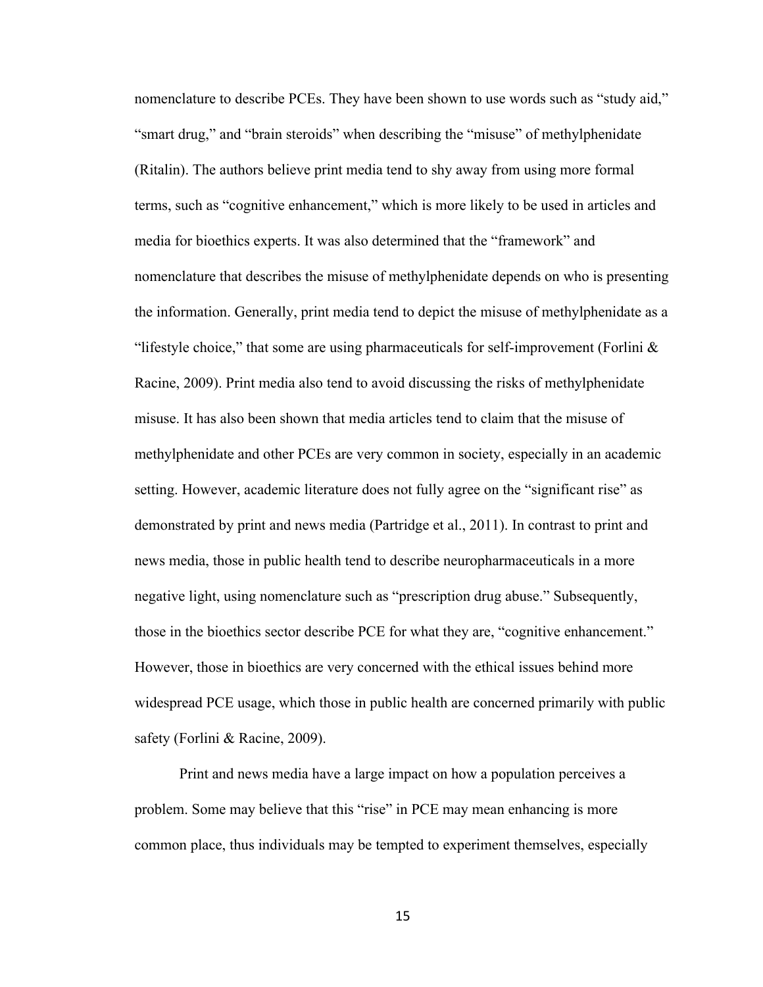nomenclature to describe PCEs. They have been shown to use words such as "study aid," "smart drug," and "brain steroids" when describing the "misuse" of methylphenidate (Ritalin). The authors believe print media tend to shy away from using more formal terms, such as "cognitive enhancement," which is more likely to be used in articles and media for bioethics experts. It was also determined that the "framework" and nomenclature that describes the misuse of methylphenidate depends on who is presenting the information. Generally, print media tend to depict the misuse of methylphenidate as a "lifestyle choice," that some are using pharmaceuticals for self-improvement (Forlini  $\&$ Racine, 2009). Print media also tend to avoid discussing the risks of methylphenidate misuse. It has also been shown that media articles tend to claim that the misuse of methylphenidate and other PCEs are very common in society, especially in an academic setting. However, academic literature does not fully agree on the "significant rise" as demonstrated by print and news media (Partridge et al., 2011). In contrast to print and news media, those in public health tend to describe neuropharmaceuticals in a more negative light, using nomenclature such as "prescription drug abuse." Subsequently, those in the bioethics sector describe PCE for what they are, "cognitive enhancement." However, those in bioethics are very concerned with the ethical issues behind more widespread PCE usage, which those in public health are concerned primarily with public safety (Forlini & Racine, 2009).

Print and news media have a large impact on how a population perceives a problem. Some may believe that this "rise" in PCE may mean enhancing is more common place, thus individuals may be tempted to experiment themselves, especially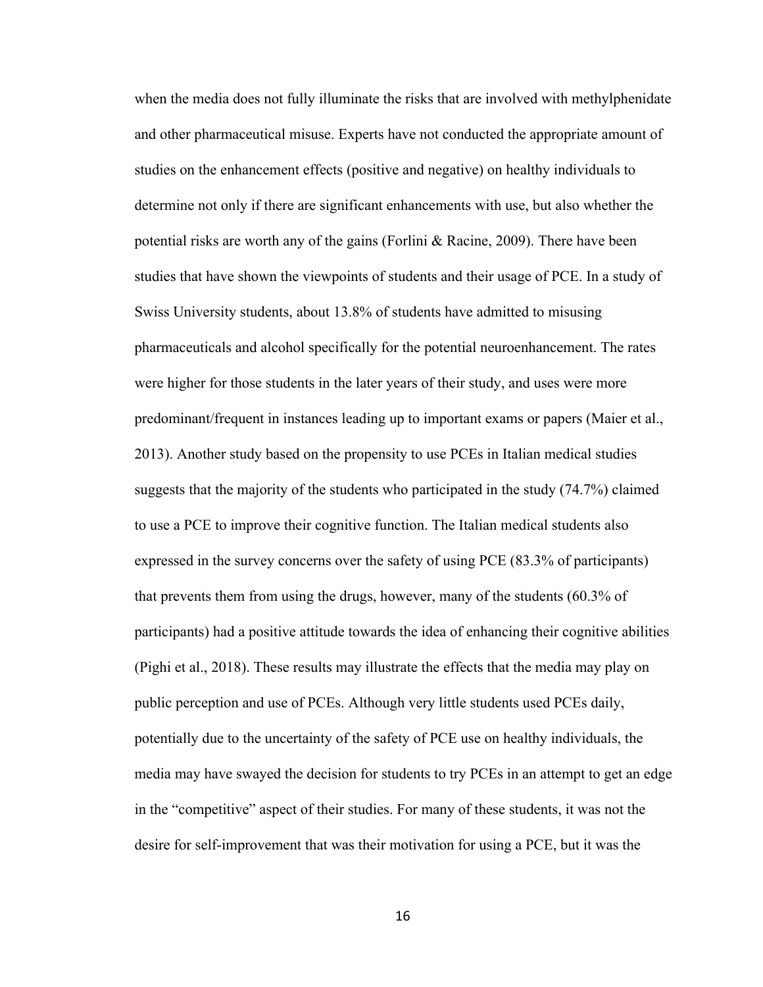when the media does not fully illuminate the risks that are involved with methylphenidate and other pharmaceutical misuse. Experts have not conducted the appropriate amount of studies on the enhancement effects (positive and negative) on healthy individuals to determine not only if there are significant enhancements with use, but also whether the potential risks are worth any of the gains (Forlini & Racine, 2009). There have been studies that have shown the viewpoints of students and their usage of PCE. In a study of Swiss University students, about 13.8% of students have admitted to misusing pharmaceuticals and alcohol specifically for the potential neuroenhancement. The rates were higher for those students in the later years of their study, and uses were more predominant/frequent in instances leading up to important exams or papers (Maier et al., 2013). Another study based on the propensity to use PCEs in Italian medical studies suggests that the majority of the students who participated in the study (74.7%) claimed to use a PCE to improve their cognitive function. The Italian medical students also expressed in the survey concerns over the safety of using PCE (83.3% of participants) that prevents them from using the drugs, however, many of the students (60.3% of participants) had a positive attitude towards the idea of enhancing their cognitive abilities (Pighi et al., 2018). These results may illustrate the effects that the media may play on public perception and use of PCEs. Although very little students used PCEs daily, potentially due to the uncertainty of the safety of PCE use on healthy individuals, the media may have swayed the decision for students to try PCEs in an attempt to get an edge in the "competitive" aspect of their studies. For many of these students, it was not the desire for self-improvement that was their motivation for using a PCE, but it was the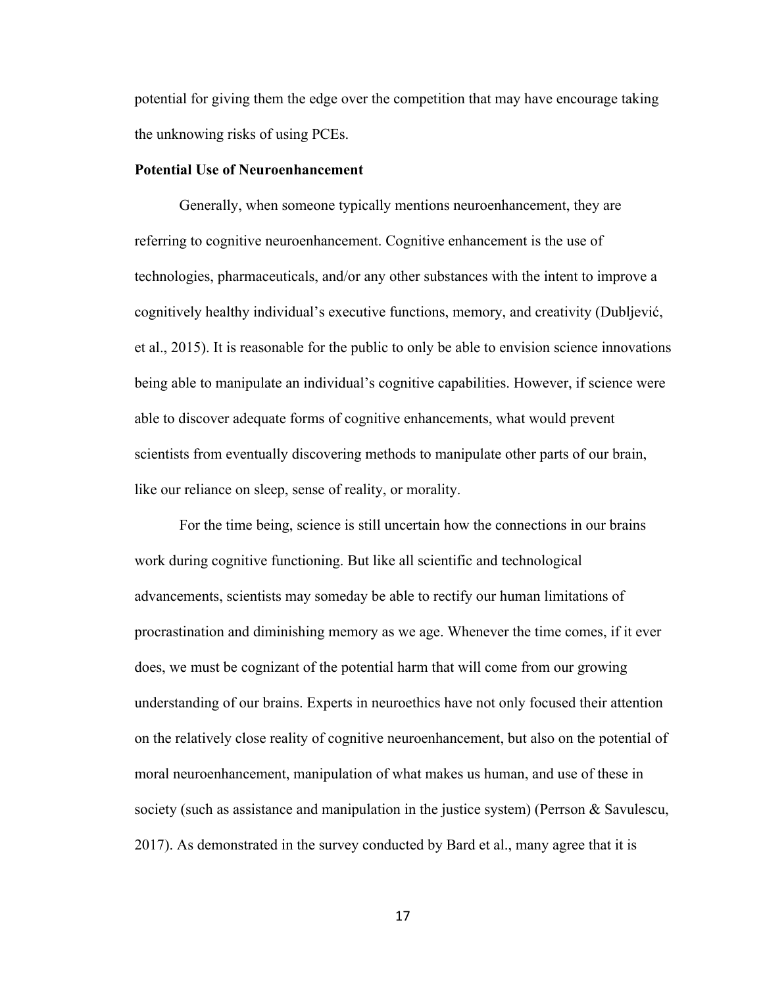potential for giving them the edge over the competition that may have encourage taking the unknowing risks of using PCEs.

#### **Potential Use of Neuroenhancement**

Generally, when someone typically mentions neuroenhancement, they are referring to cognitive neuroenhancement. Cognitive enhancement is the use of technologies, pharmaceuticals, and/or any other substances with the intent to improve a cognitively healthy individual's executive functions, memory, and creativity (Dubljević, et al., 2015). It is reasonable for the public to only be able to envision science innovations being able to manipulate an individual's cognitive capabilities. However, if science were able to discover adequate forms of cognitive enhancements, what would prevent scientists from eventually discovering methods to manipulate other parts of our brain, like our reliance on sleep, sense of reality, or morality.

For the time being, science is still uncertain how the connections in our brains work during cognitive functioning. But like all scientific and technological advancements, scientists may someday be able to rectify our human limitations of procrastination and diminishing memory as we age. Whenever the time comes, if it ever does, we must be cognizant of the potential harm that will come from our growing understanding of our brains. Experts in neuroethics have not only focused their attention on the relatively close reality of cognitive neuroenhancement, but also on the potential of moral neuroenhancement, manipulation of what makes us human, and use of these in society (such as assistance and manipulation in the justice system) (Perrson & Savulescu, 2017). As demonstrated in the survey conducted by Bard et al., many agree that it is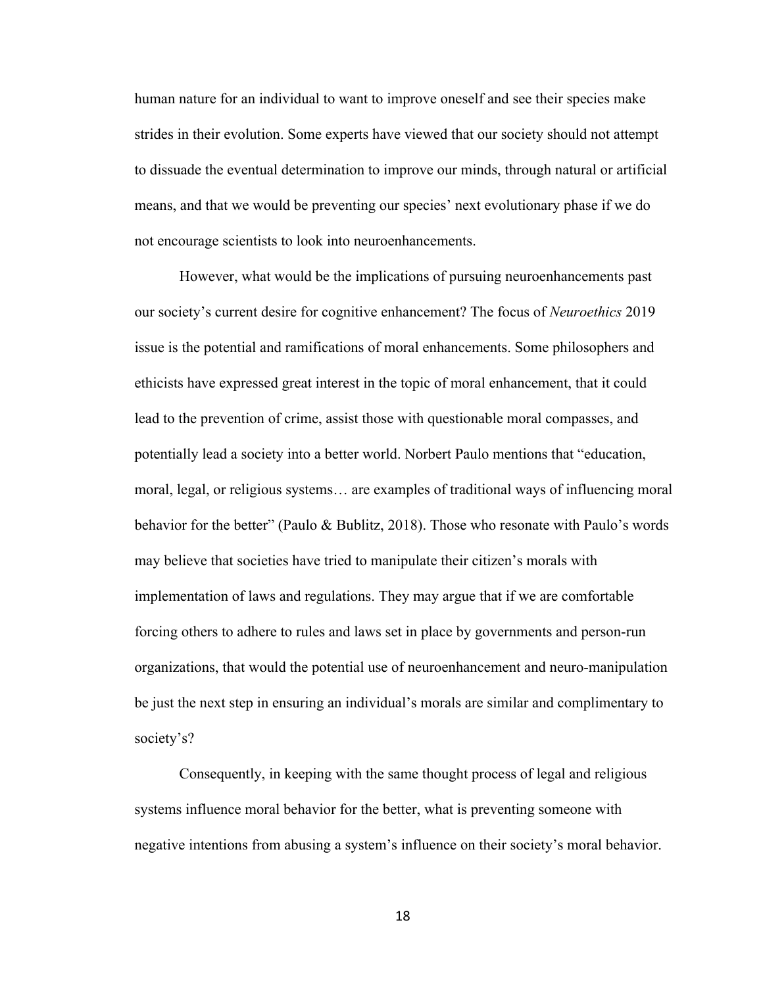human nature for an individual to want to improve oneself and see their species make strides in their evolution. Some experts have viewed that our society should not attempt to dissuade the eventual determination to improve our minds, through natural or artificial means, and that we would be preventing our species' next evolutionary phase if we do not encourage scientists to look into neuroenhancements.

However, what would be the implications of pursuing neuroenhancements past our society's current desire for cognitive enhancement? The focus of *Neuroethics* 2019 issue is the potential and ramifications of moral enhancements. Some philosophers and ethicists have expressed great interest in the topic of moral enhancement, that it could lead to the prevention of crime, assist those with questionable moral compasses, and potentially lead a society into a better world. Norbert Paulo mentions that "education, moral, legal, or religious systems… are examples of traditional ways of influencing moral behavior for the better" (Paulo & Bublitz, 2018). Those who resonate with Paulo's words may believe that societies have tried to manipulate their citizen's morals with implementation of laws and regulations. They may argue that if we are comfortable forcing others to adhere to rules and laws set in place by governments and person-run organizations, that would the potential use of neuroenhancement and neuro-manipulation be just the next step in ensuring an individual's morals are similar and complimentary to society's?

Consequently, in keeping with the same thought process of legal and religious systems influence moral behavior for the better, what is preventing someone with negative intentions from abusing a system's influence on their society's moral behavior.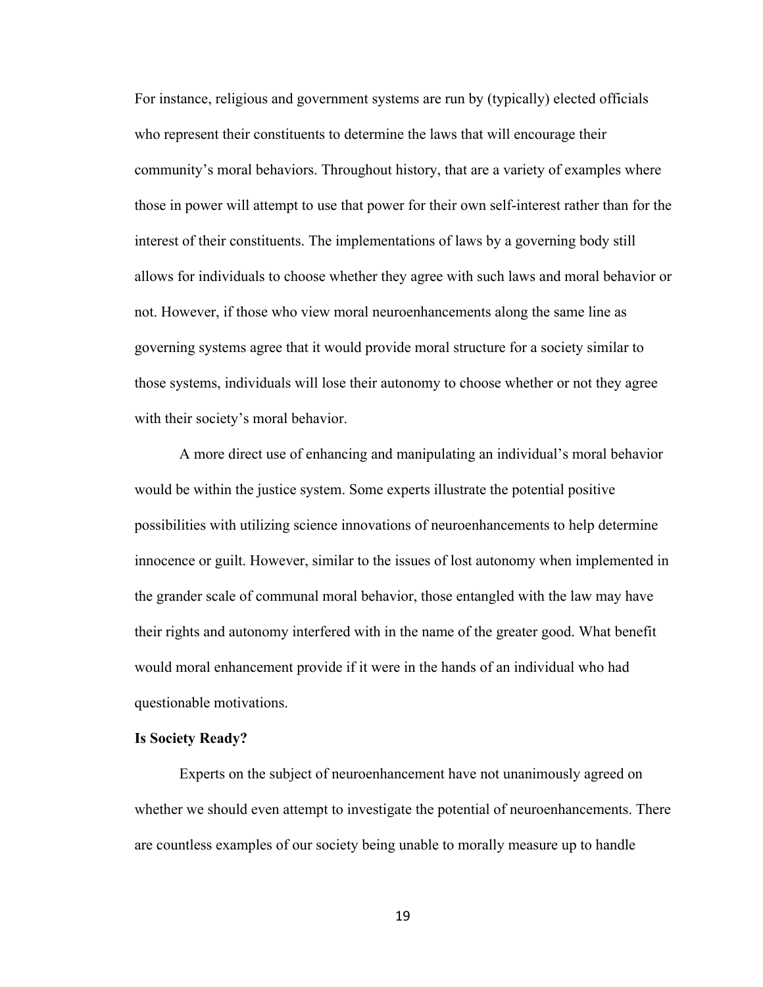For instance, religious and government systems are run by (typically) elected officials who represent their constituents to determine the laws that will encourage their community's moral behaviors. Throughout history, that are a variety of examples where those in power will attempt to use that power for their own self-interest rather than for the interest of their constituents. The implementations of laws by a governing body still allows for individuals to choose whether they agree with such laws and moral behavior or not. However, if those who view moral neuroenhancements along the same line as governing systems agree that it would provide moral structure for a society similar to those systems, individuals will lose their autonomy to choose whether or not they agree with their society's moral behavior.

A more direct use of enhancing and manipulating an individual's moral behavior would be within the justice system. Some experts illustrate the potential positive possibilities with utilizing science innovations of neuroenhancements to help determine innocence or guilt. However, similar to the issues of lost autonomy when implemented in the grander scale of communal moral behavior, those entangled with the law may have their rights and autonomy interfered with in the name of the greater good. What benefit would moral enhancement provide if it were in the hands of an individual who had questionable motivations.

## **Is Society Ready?**

Experts on the subject of neuroenhancement have not unanimously agreed on whether we should even attempt to investigate the potential of neuroenhancements. There are countless examples of our society being unable to morally measure up to handle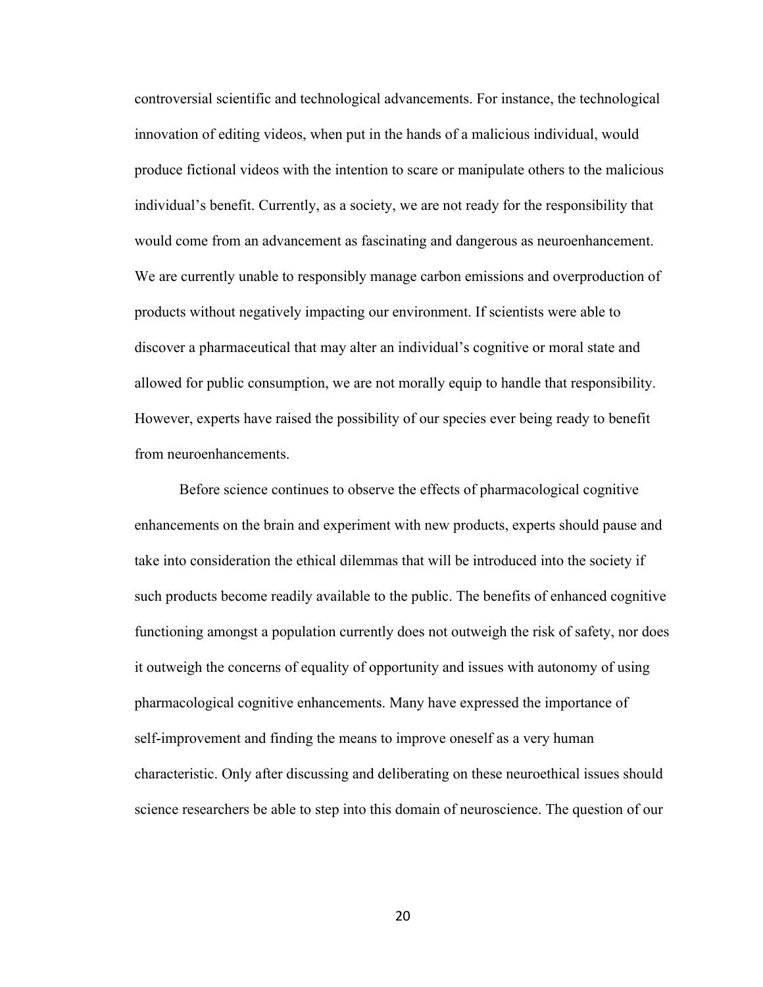controversial scientific and technological advancements. For instance, the technological innovation of editing videos, when put in the hands of a malicious individual, would produce fictional videos with the intention to scare or manipulate others to the malicious individual's benefit. Currently, as a society, we are not ready for the responsibility that would come from an advancement as fascinating and dangerous as neuroenhancement. We are currently unable to responsibly manage carbon emissions and overproduction of products without negatively impacting our environment. If scientists were able to discover a pharmaceutical that may alter an individual's cognitive or moral state and allowed for public consumption, we are not morally equip to handle that responsibility. However, experts have raised the possibility of our species ever being ready to benefit from neuroenhancements.

Before science continues to observe the effects of pharmacological cognitive enhancements on the brain and experiment with new products, experts should pause and take into consideration the ethical dilemmas that will be introduced into the society if such products become readily available to the public. The benefits of enhanced cognitive functioning amongst a population currently does not outweigh the risk of safety, nor does it outweigh the concerns of equality of opportunity and issues with autonomy of using pharmacological cognitive enhancements. Many have expressed the importance of self-improvement and finding the means to improve oneself as a very human characteristic. Only after discussing and deliberating on these neuroethical issues should science researchers be able to step into this domain of neuroscience. The question of our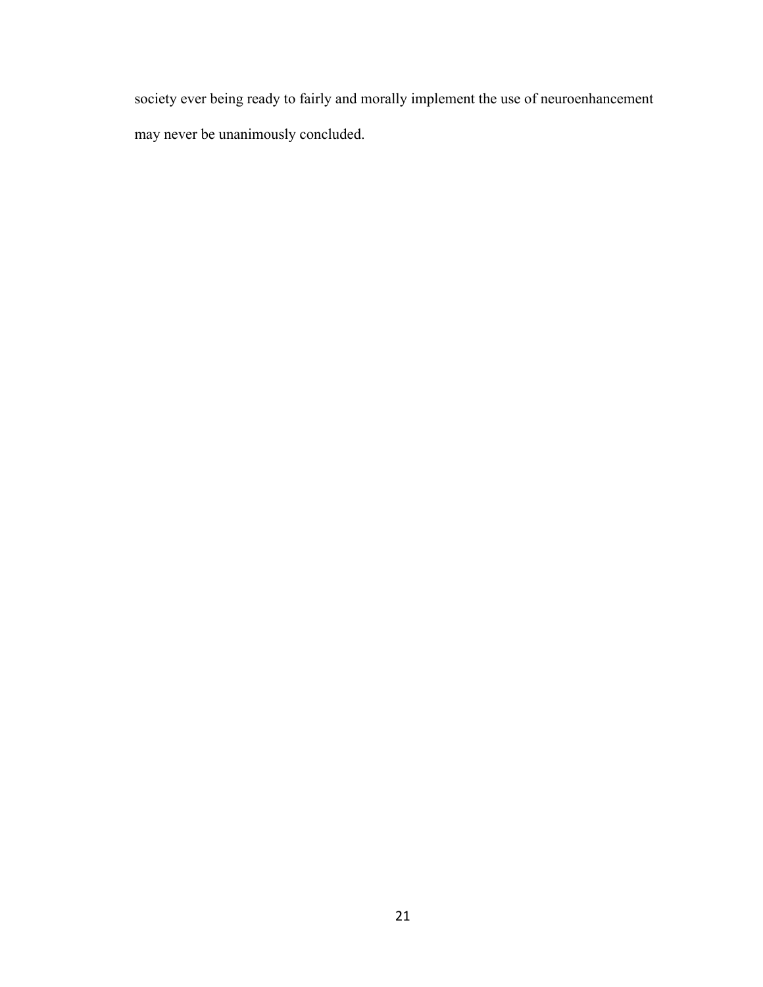society ever being ready to fairly and morally implement the use of neuroenhancement may never be unanimously concluded.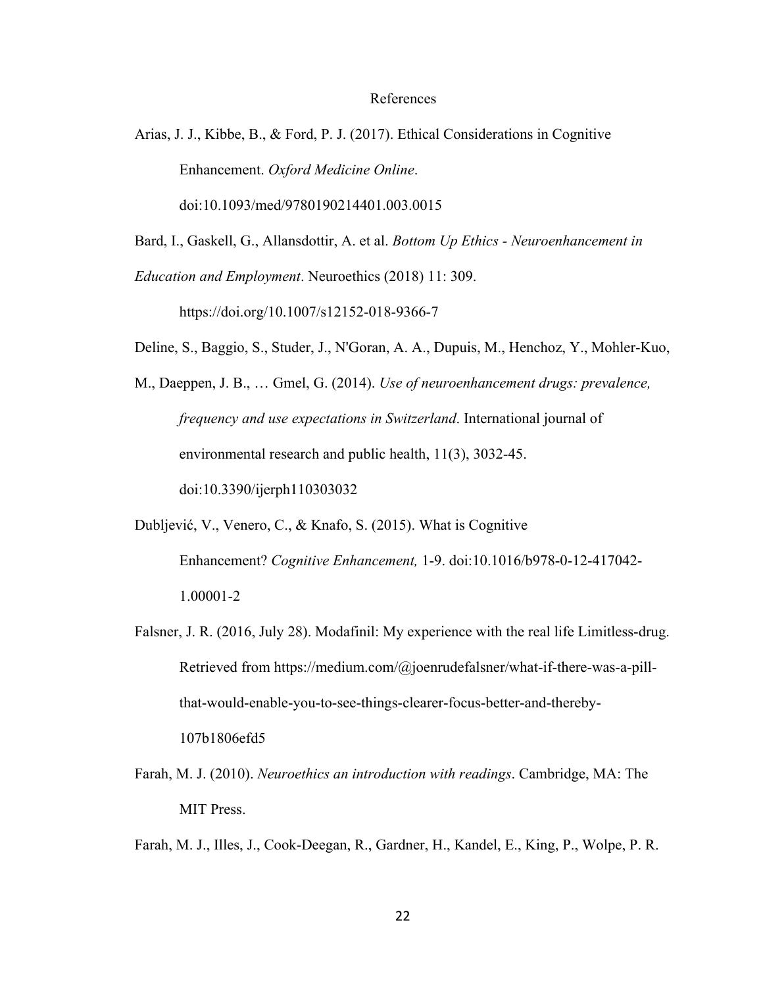#### References

Arias, J. J., Kibbe, B., & Ford, P. J. (2017). Ethical Considerations in Cognitive Enhancement. *Oxford Medicine Online*.

doi:10.1093/med/9780190214401.003.0015

Bard, I., Gaskell, G., Allansdottir, A. et al. *Bottom Up Ethics - Neuroenhancement in*

*Education and Employment*. Neuroethics (2018) 11: 309.

https://doi.org/10.1007/s12152-018-9366-7

Deline, S., Baggio, S., Studer, J., N'Goran, A. A., Dupuis, M., Henchoz, Y., Mohler-Kuo,

M., Daeppen, J. B., … Gmel, G. (2014). *Use of neuroenhancement drugs: prevalence, frequency and use expectations in Switzerland*. International journal of environmental research and public health, 11(3), 3032-45. doi:10.3390/ijerph110303032

- Dubljević, V., Venero, C., & Knafo, S. (2015). What is Cognitive Enhancement? *Cognitive Enhancement,* 1-9. doi:10.1016/b978-0-12-417042- 1.00001-2
- Falsner, J. R. (2016, July 28). Modafinil: My experience with the real life Limitless-drug. Retrieved from https://medium.com/@joenrudefalsner/what-if-there-was-a-pillthat-would-enable-you-to-see-things-clearer-focus-better-and-thereby-

107b1806efd5

Farah, M. J. (2010). *Neuroethics an introduction with readings*. Cambridge, MA: The MIT Press.

Farah, M. J., Illes, J., Cook-Deegan, R., Gardner, H., Kandel, E., King, P., Wolpe, P. R.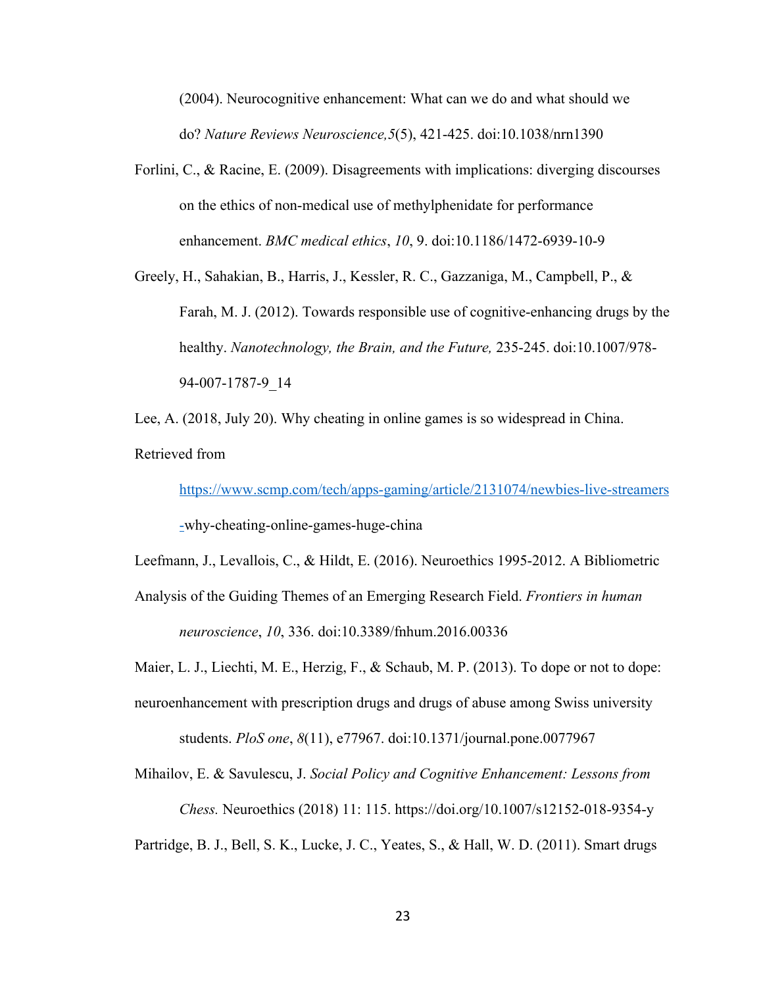(2004). Neurocognitive enhancement: What can we do and what should we do? *Nature Reviews Neuroscience,5*(5), 421-425. doi:10.1038/nrn1390

Forlini, C., & Racine, E. (2009). Disagreements with implications: diverging discourses on the ethics of non-medical use of methylphenidate for performance enhancement. *BMC medical ethics*, *10*, 9. doi:10.1186/1472-6939-10-9

Greely, H., Sahakian, B., Harris, J., Kessler, R. C., Gazzaniga, M., Campbell, P., & Farah, M. J. (2012). Towards responsible use of cognitive-enhancing drugs by the healthy. *Nanotechnology, the Brain, and the Future,* 235-245. doi:10.1007/978- 94-007-1787-9\_14

Lee, A. (2018, July 20). Why cheating in online games is so widespread in China. Retrieved from

[https://www.scmp.com/tech/apps-gaming/article/2131074/newbies-live-streamers](https://www.scmp.com/tech/apps-gaming/article/2131074/newbies-live-streamers-)

[-w](https://www.scmp.com/tech/apps-gaming/article/2131074/newbies-live-streamers-)hy-cheating-online-games-huge-china

Leefmann, J., Levallois, C., & Hildt, E. (2016). Neuroethics 1995-2012. A Bibliometric

Analysis of the Guiding Themes of an Emerging Research Field. *Frontiers in human neuroscience*, *10*, 336. doi:10.3389/fnhum.2016.00336

Maier, L. J., Liechti, M. E., Herzig, F., & Schaub, M. P. (2013). To dope or not to dope:

neuroenhancement with prescription drugs and drugs of abuse among Swiss university students. *PloS one*, *8*(11), e77967. doi:10.1371/journal.pone.0077967

Mihailov, E. & Savulescu, J. *Social Policy and Cognitive Enhancement: Lessons from Chess.* Neuroethics (2018) 11: 115. <https://doi.org/10.1007/s12152-018-9354-y>

Partridge, B. J., Bell, S. K., Lucke, J. C., Yeates, S., & Hall, W. D. (2011). Smart drugs